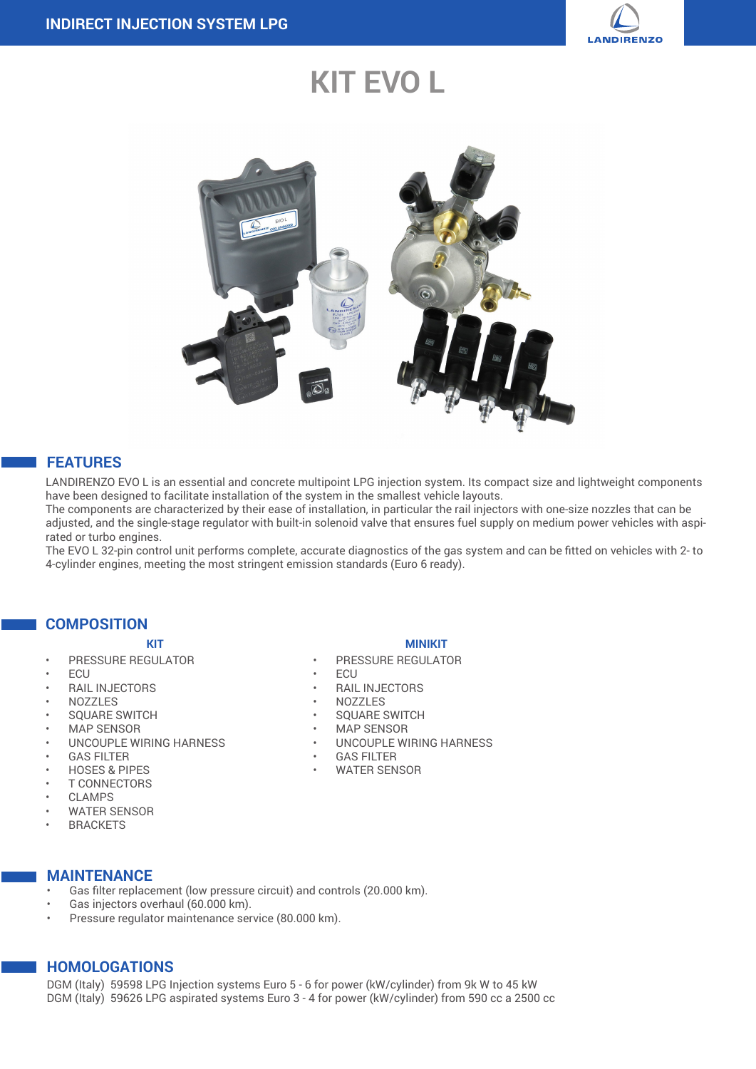

# **KIT EVO L**



#### **FEATURES**

LANDIRENZO EVO L is an essential and concrete multipoint LPG injection system. Its compact size and lightweight components have been designed to facilitate installation of the system in the smallest vehicle layouts.

The components are characterized by their ease of installation, in particular the rail injectors with one-size nozzles that can be adjusted, and the single-stage regulator with built-in solenoid valve that ensures fuel supply on medium power vehicles with aspirated or turbo engines.

The EVO L 32-pin control unit performs complete, accurate diagnostics of the gas system and can be fitted on vehicles with 2- to 4-cylinder engines, meeting the most stringent emission standards (Euro 6 ready).

#### **COMPOSITION**

- 
- PRESSURE REGULATOR
- ECU
- RAIL INJECTORS
- NOZZLES
- SQUARE SWITCH
- MAP SENSOR
- UNCOUPLE WIRING HARNESS
- **GAS FILTER**
- HOSES & PIPES
- **T CONNECTORS**
- **CLAMPS**
- WATER SENSOR
- **BRACKETS**

#### **MAINTENANCE**

- Gas filter replacement (low pressure circuit) and controls (20.000 km).
- Gas injectors overhaul (60.000 km).
- Pressure regulator maintenance service (80.000 km).

### **HOMOLOGATIONS**

DGM (Italy) 59598 LPG Injection systems Euro 5 - 6 for power (kW/cylinder) from 9k W to 45 kW DGM (Italy) 59626 LPG aspirated systems Euro 3 - 4 for power (kW/cylinder) from 590 cc a 2500 cc

#### **KIT MINIKIT**

- PRESSURE REGULATOR
- ECU
- RAIL INJECTORS
- NOZZLES
- SQUARE SWITCH
- MAP SENSOR
- UNCOUPLE WIRING HARNESS
- **GAS FILTER**
- WATER SENSOR